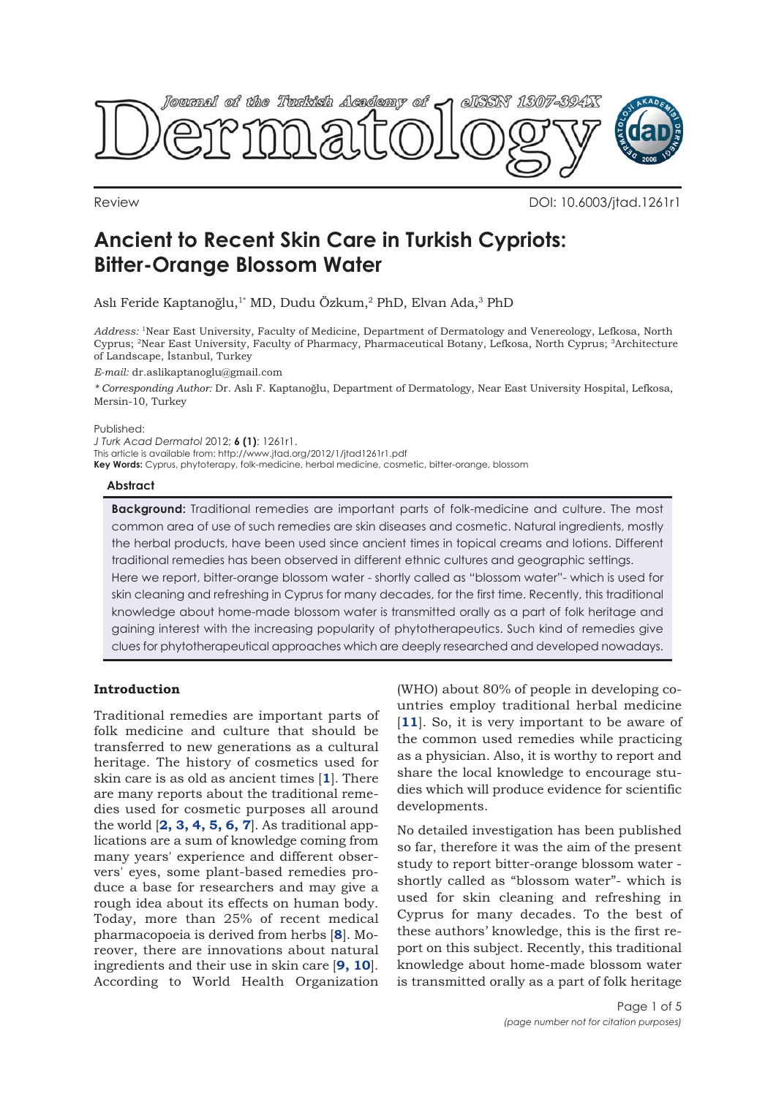<span id="page-0-0"></span>

Review DOI: 10.6003/jtad.1261r1

# **Ancient to Recent Skin Care in Turkish Cypriots: Bitter-Orange Blossom Water**

Aslı Feride Kaptanoğlu,<sup>1\*</sup> MD, Dudu Özkum,<sup>2</sup> PhD, Elvan Ada,<sup>3</sup> PhD

*Address:* 1Near East University, Faculty of Medicine, Department of Dermatology and Venereology, Lefkosa, North Cyprus; 2Near East University, Faculty of Pharmacy, Pharmaceutical Botany, Lefkosa, North Cyprus; 3Architecture of Landscape, İstanbul, Turkey

*E-mail:* dr.aslikaptanoglu@gmail.com

*\* Corresponding Author:* Dr. Aslı F. Kaptanoğlu, Department of Dermatology, Near East University Hospital, Lefkosa, Mersin-10, Turkey

Published:

*J Turk Acad Dermatol* 2012; **6 (1)**: 1261r1.

This article is available from: http://www.jtad.org/2012/1/jtad1261r1.pdf

**Key Words:** Cyprus, phytoterapy, folk-medicine, herbal medicine, cosmetic, bitter-orange, blossom

## **Abstract**

**Background:** Traditional remedies are important parts of folk-medicine and culture. The most common area of use of such remedies are skin diseases and cosmetic. Natural ingredients, mostly the herbal products, have been used since ancient times in topical creams and lotions. Different traditional remedies has been observed in different ethnic cultures and geographic settings. Here we report, bitter-orange blossom water - shortly called as "blossom water"- which is used for skin cleaning and refreshing in Cyprus for many decades, for the first time. Recently, this traditional knowledge about home-made blossom water is transmitted orally as a part of folk heritage and gaining interest with the increasing popularity of phytotherapeutics. Such kind of remedies give clues for phytotherapeutical approaches which are deeply researched and developed nowadays.

## **Introduction**

Traditional remedies are important parts of folk medicine and culture that should be transferred to new generations as a cultural heritage. The history of cosmetics used for skin care is as old as ancient times [**[1](#page-3-0)**]. There are many reports about the traditional remedies used for cosmetic purposes all around the world [**[2, 3, 4, 5, 6, 7](#page-3-0)**]. As traditional applications are a sum of knowledge coming from many years' experience and different observers' eyes, some plant-based remedies produce a base for researchers and may give a rough idea about its effects on human body. Today, more than 25% of recent medical pharmacopoeia is derived from herbs [**[8](#page-3-0)**]. Moreover, there are innovations about natural ingredients and their use in skin care [**[9, 10](#page-3-0)**]. According to World Health Organization

(WHO) about 80% of people in developing countries employ traditional herbal medicine [[11](#page-3-0)]. So, it is very important to be aware of the common used remedies while practicing as a physician. Also, it is worthy to report and share the local knowledge to encourage studies which will produce evidence for scientific developments.

No detailed investigation has been published so far, therefore it was the aim of the present study to report bitter-orange blossom water shortly called as "blossom water"- which is used for skin cleaning and refreshing in Cyprus for many decades. To the best of these authors' knowledge, this is the first report on this subject. Recently, this traditional knowledge about home-made blossom water is transmitted orally as a part of folk heritage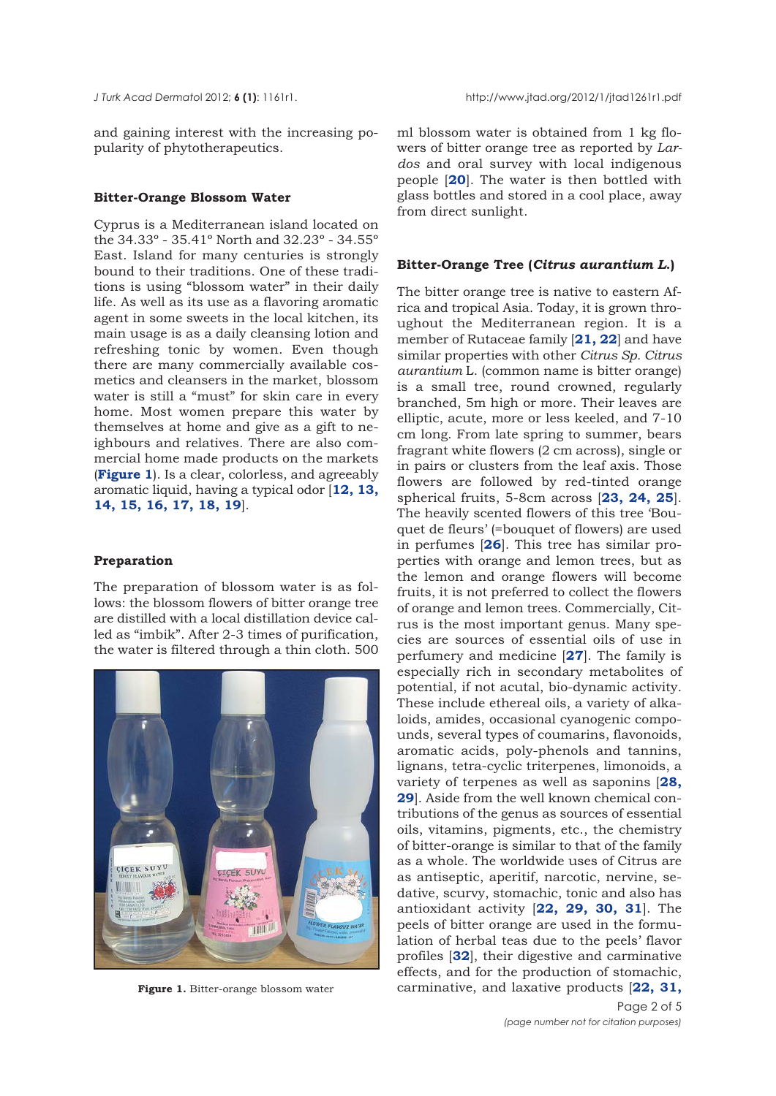<span id="page-1-0"></span>

and gaining interest with the increasing popularity of phytotherapeutics.

## **Bitter-Orange Blossom Water**

Cyprus is a Mediterranean island located on the 34.33º - 35.41º North and 32.23º - 34.55º East. Island for many centuries is strongly bound to their traditions. One of these traditions is using "blossom water" in their daily life. As well as its use as a flavoring aromatic agent in some sweets in the local kitchen, its main usage is as a daily cleansing lotion and refreshing tonic by women. Even though there are many commercially available cosmetics and cleansers in the market, blossom water is still a "must" for skin care in every home. Most women prepare this water by themselves at home and give as a gift to neighbours and relatives. There are also commercial home made products on the markets (**Figure 1**). Is a clear, colorless, and agreeably aromatic liquid, having a typical odor [**[12, 13,](#page-3-0) [14, 15](#page-3-0), [16, 17, 18, 19](#page-3-0)**].

## **Preparation**

The preparation of blossom water is as follows: the blossom flowers of bitter orange tree are distilled with a local distillation device called as "imbik". After 2-3 times of purification, the water is filtered through a thin cloth. 500



**Figure 1.** Bitter-orange blossom water

ml blossom water is obtained from 1 kg flowers of bitter orange tree as reported by *Lardos* and oral survey with local indigenous people [**[20](#page-3-0)**]. The water is then bottled with glass bottles and stored in a cool place, away from direct sunlight.

## **Bitter-Orange Tree (***Citrus aurantium L***.)**

The bitter orange tree is native to eastern Africa and tropical Asia. Today, it is grown throughout the Mediterranean region. It is a member of Rutaceae family [**[21, 22](#page-3-0)**] and have similar properties with other *Citrus Sp. Citrus aurantium* L. (common name is bitter orange) is a small tree, round crowned, regularly branched, 5m high or more. Their leaves are elliptic, acute, more or less keeled, and 7-10 cm long. From late spring to summer, bears fragrant white flowers (2 cm across), single or in pairs or clusters from the leaf axis. Those flowers are followed by red-tinted orange spherical fruits, 5-8cm across [**[23,](#page-3-0) [24](#page-3-0), [25](#page-3-0)**]. The heavily scented flowers of this tree 'Bouquet de fleurs' (=bouquet of flowers) are used in perfumes [**[26](#page-3-0)**]. This tree has similar properties with orange and lemon trees, but as the lemon and orange flowers will become fruits, it is not preferred to collect the flowers of orange and lemon trees. Commercially, Citrus is the most important genus. Many species are sources of essential oils of use in perfumery and medicine [**[27](#page-3-0)**]. The family is especially rich in secondary metabolites of potential, if not acutal, bio-dynamic activity. These include ethereal oils, a variety of alkaloids, amides, occasional cyanogenic compounds, several types of coumarins, flavonoids, aromatic acids, poly-phenols and tannins, lignans, tetra-cyclic triterpenes, limonoids, a variety of terpenes as well as saponins [**28, 29**[\]. Aside from the well known chemical con](#page-3-0)tributions of the genus as sources of essential oils, vitamins, pigments, etc., the chemistry of bitter-orange is similar to that of the family as a whole. The worldwide uses of Citrus are as antiseptic, aperitif, narcotic, nervine, sedative, scurvy, stomachic, tonic and also has antioxidant activity [**[22](#page-3-0), [29, 30, 31](#page-3-0)**]. The peels of bitter orange are used in the formulation of herbal teas due to the peels' flavor profiles [**[32](#page-3-0)**], their digestive and carminative effects, and for the production of stomachic, carminative, and laxative products [**[22,](#page-3-0) [31,](#page-3-0)**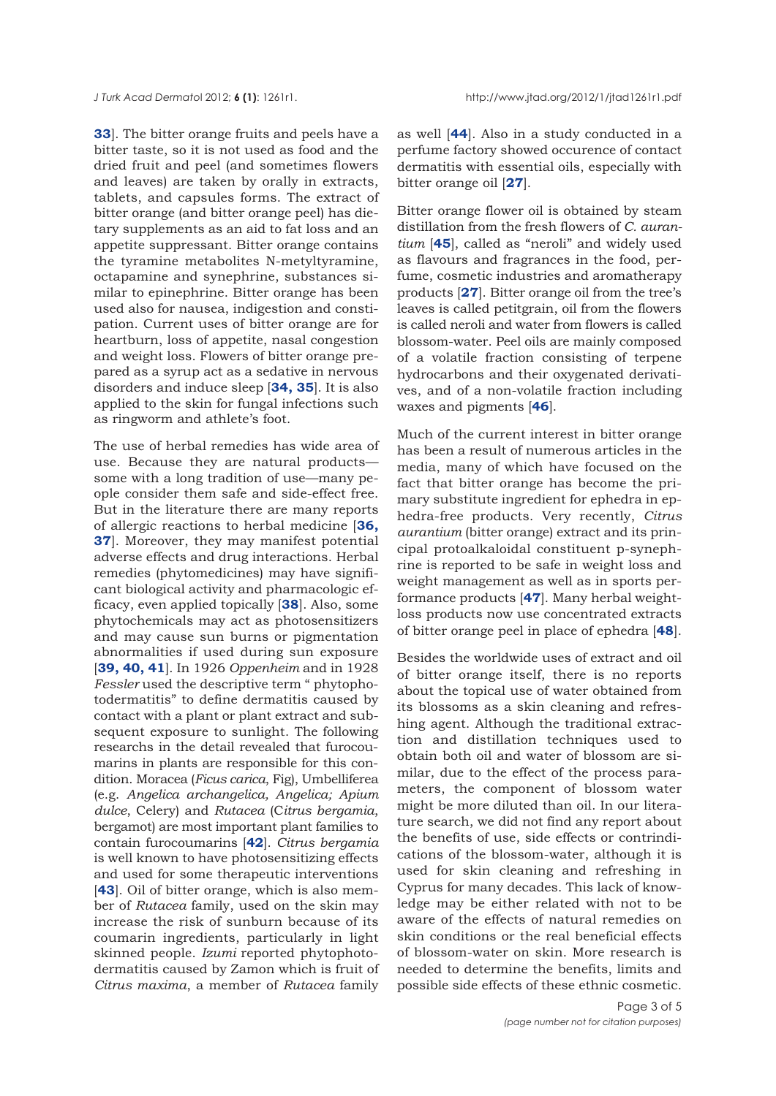<span id="page-2-0"></span>**[33](#page-3-0)**]. The bitter orange fruits and peels have a bitter taste, so it is not used as food and the dried fruit and peel (and sometimes flowers and leaves) are taken by orally in extracts, tablets, and capsules forms. The extract of bitter orange (and bitter orange peel) has dietary supplements as an aid to fat loss and an appetite suppressant. Bitter orange contains the tyramine metabolites N-metyltyramine, octapamine and synephrine, substances similar to epinephrine. Bitter orange has been used also for nausea, indigestion and constipation. Current uses of bitter orange are for heartburn, loss of appetite, nasal congestion and weight loss. Flowers of bitter orange prepared as a syrup act as a sedative in nervous disorders and induce sleep [**[34, 35](#page-3-0)**]. It is also applied to the skin for fungal infections such as ringworm and athlete's foot.

The use of herbal remedies has wide area of use. Because they are natural products some with a long tradition of use—many people consider them safe and side-effect free. But in the literature there are many reports of allergic reactions to herbal medicine [**36, 37**[\]. Moreover, they may manifest potential](#page-3-0) adverse effects and drug interactions. Herbal remedies (phytomedicines) may have significant biological activity and pharmacologic efficacy, even applied topically [**[38](#page-4-0)**]. Also, some phytochemicals may act as photosensitizers and may cause sun burns or pigmentation abnormalities if used during sun exposure [**[39, 40, 41](#page-4-0)**]. In 1926 *Oppenheim* and in 1928 *Fessler* used the descriptive term " phytophotodermatitis" to define dermatitis caused by contact with a plant or plant extract and subsequent exposure to sunlight. The following researchs in the detail revealed that furocoumarins in plants are responsible for this condition. Moracea (*Ficus carica*, Fig), Umbelliferea (e.g. *Angelica archangelica, Angelica; Apium dulce*, Celery) and *Rutacea* (C*itrus bergamia*, bergamot) are most important plant families to contain furocoumarins [**[42](#page-4-0)**]. *Citrus bergamia* is well known to have photosensitizing effects and used for some therapeutic interventions [**[43](#page-4-0)**]. Oil of bitter orange, which is also member of *Rutacea* family, used on the skin may increase the risk of sunburn because of its coumarin ingredients, particularly in light skinned people. *Izumi* reported phytophotodermatitis caused by Zamon which is fruit of *Citrus maxima*, a member of *Rutacea* family

as well [**[44](#page-4-0)**]. Also in a study conducted in a perfume factory showed occurence of contact dermatitis with essential oils, especially with bitter orange oil [**[27](#page-3-0)**].

Bitter orange flower oil is obtained by steam distillation from the fresh flowers of *C. aurantium* [**[45](#page-4-0)**], called as "neroli" and widely used as flavours and fragrances in the food, perfume, cosmetic industries and aromatherapy products [**[27](#page-3-0)**]. Bitter orange oil from the tree's leaves is called petitgrain, oil from the flowers is called neroli and water from flowers is called blossom-water. Peel oils are mainly composed of a volatile fraction consisting of terpene hydrocarbons and their oxygenated derivatives, and of a non-volatile fraction including waxes and pigments [**[46](#page-4-0)**].

Much of the current interest in bitter orange has been a result of numerous articles in the media, many of which have focused on the fact that bitter orange has become the primary substitute ingredient for ephedra in ephedra-free products. Very recently, *Citrus aurantium* (bitter orange) extract and its principal protoalkaloidal constituent p-synephrine is reported to be safe in weight loss and weight management as well as in sports performance products [**[47](#page-4-0)**]. Many herbal weightloss products now use concentrated extracts of bitter orange peel in place of ephedra [**[48](#page-4-0)**].

Besides the worldwide uses of extract and oil of bitter orange itself, there is no reports about the topical use of water obtained from its blossoms as a skin cleaning and refreshing agent. Although the traditional extraction and distillation techniques used to obtain both oil and water of blossom are similar, due to the effect of the process parameters, the component of blossom water might be more diluted than oil. In our literature search, we did not find any report about the benefits of use, side effects or contrindications of the blossom-water, although it is used for skin cleaning and refreshing in Cyprus for many decades. This lack of knowledge may be either related with not to be aware of the effects of natural remedies on skin conditions or the real beneficial effects of blossom-water on skin. More research is needed to determine the benefits, limits and possible side effects of these ethnic cosmetic.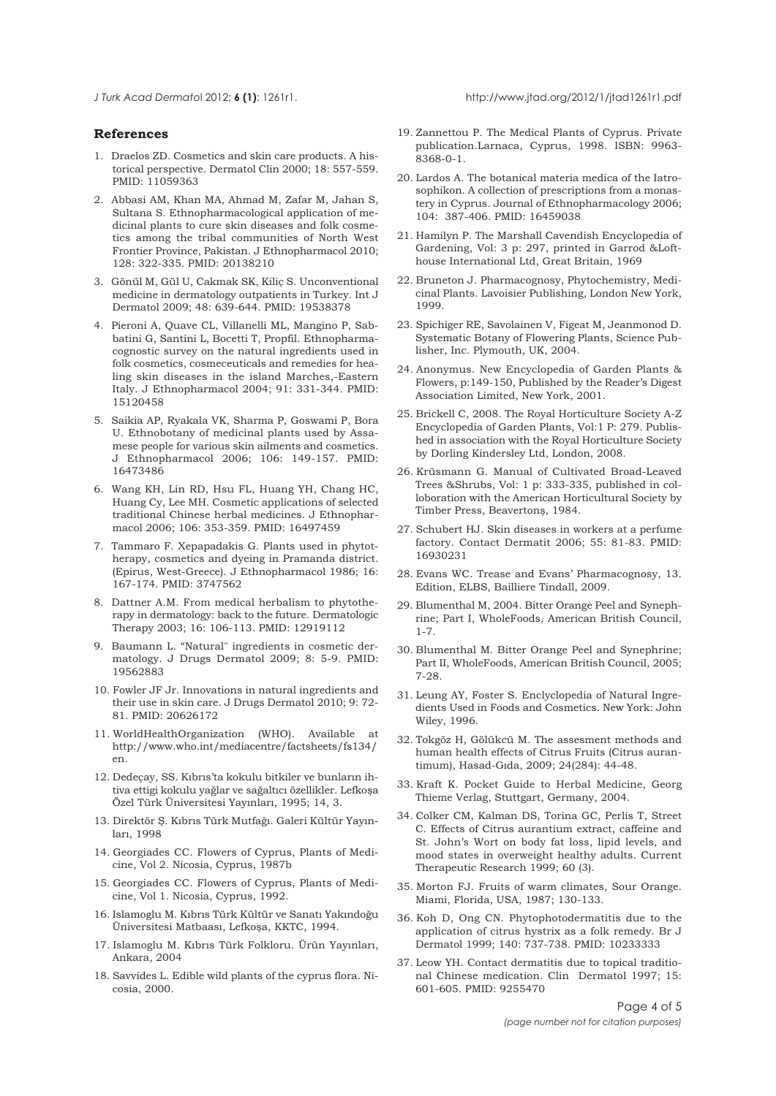<span id="page-3-0"></span>

## **References**

- [1.](#page-0-0) Draelos ZD. Cosmetics and skin care products. A historical perspective. Dermatol Clin 2000; 18: 557-559. PMID: 11059363
- [2. A](#page-0-0)bbasi AM, Khan MA, Ahmad M, Zafar M, Jahan S, Sultana S. Ethnopharmacological application of medicinal plants to cure skin diseases and folk cosmetics among the tribal communities of North West Frontier Province, Pakistan. J Ethnopharmacol 2010; 128: 322-335. PMID: 20138210
- [3.](#page-0-0) Gönül M, Gül U, Cakmak SK, Kiliç S. Unconventional medicine in dermatology outpatients in Turkey. Int J Dermatol 2009; 48: 639-644. PMID: 19538378
- [4.](#page-0-0) Pieroni A, Quave CL, Villanelli ML, Mangino P, Sabbatini G, Santini L, Bocetti T, Propfil. Ethnopharmacognostic survey on the natural ingredients used in folk cosmetics, cosmeceuticals and remedies for healing skin diseases in the island Marches,-Eastern Italy. J Ethnopharmacol 2004; 91: 331-344. PMID: 15120458
- [5.](#page-0-0) Saikia AP, Ryakala VK, Sharma P, Goswami P, Bora U. Ethnobotany of medicinal plants used by Assamese people for various skin ailments and cosmetics. J Ethnopharmacol 2006; 106: 149-157. PMID: 16473486
- [6.](#page-0-0) Wang KH, Lin RD, Hsu FL, Huang YH, Chang HC, Huang Cy, Lee MH. Cosmetic applications of selected traditional Chinese herbal medicines. J Ethnopharmacol 2006; 106: 353-359. PMID: 16497459
- [7.](#page-0-0) Tammaro F. Xepapadakis G. Plants used in phytotherapy, cosmetics and dyeing in Pramanda district. (Epirus, West-Greece). J Ethnopharmacol 1986; 16: 167-174. PMID: 3747562
- [8.](#page-0-0) Dattner A.M. From medical herbalism to phytotherapy in dermatology: back to the future. Dermatologic Therapy 2003; 16: 106-113. PMID: 12919112
- [9.](#page-0-0) Baumann L. "Natural" ingredients in cosmetic dermatology. J Drugs Dermatol 2009; 8: 5-9. PMID: 19562883
- [10.](#page-0-0) Fowler JF Jr. Innovations in natural ingredients and their use in skin care. J Drugs Dermatol 2010; 9: 72- 81. PMID: 20626172
- [11.](#page-0-0) WorldHealthOrganization (WHO). Available at http://www.who.int/mediacentre/factsheets/fs134/ en.
- [12.](#page-1-0) Dedeçay, SS. Kıbrıs'ta kokulu bitkiler ve bunların ihtiva ettigi kokulu yağlar ve sağaltıcı özellikler. Lefkoşa Özel Türk Üniversitesi Yayınları, 1995; 14, 3.
- [13.](#page-1-0) Direktör Ş. Kıbrıs Türk Mutfağı. Galeri Kültür Yayınları, 1998
- [14. G](#page-1-0)eorgiades CC. Flowers of Cyprus, Plants of Medicine, Vol 2. Nicosia, Cyprus, 1987b
- [15.](#page-1-0) Georgiades CC. Flowers of Cyprus, Plants of Medicine, Vol 1. Nicosia, Cyprus, 1992.
- [16.](#page-1-0) Islamoglu M. Kıbrıs Türk Kültür ve Sanatı Yakındoğu Üniversitesi Matbaası, Lefkoşa, KKTC, 1994.
- 17. Islamoglu M. Kıbrıs Türk Folkloru. Ürün Yayınları, Ankara, 2004
- [18.](#page-1-0) Savvides L. Edible wild plants of the cyprus flora. Nicosia, 2000.
- [19.](#page-1-0) Zannettou P. The Medical Plants of Cyprus. Private publication.Larnaca, Cyprus, 1998. ISBN: 9963- 8368-0-1.
- [20.](#page-1-0) Lardos A. The botanical materia medica of the Iatrosophikon. A collection of prescriptions from a monastery in Cyprus. Journal of Ethnopharmacology 2006; 104: 387-406. PMID: 16459038
- [21.](#page-1-0) Hamilyn P. The Marshall Cavendish Encyclopedia of Gardening, Vol: 3 p: 297, printed in Garrod &Lofthouse International Ltd, Great Britain, 1969
- [22.](#page-1-0) Bruneton J. Pharmacognosy, Phytochemistry, Medicinal Plants. Lavoisier Publishing, London New York, 1999.
- [23.](#page-1-0) Spichiger RE, Savolainen V, Figeat M, Jeanmonod D. Systematic Botany of Flowering Plants, Science Publisher, Inc. Plymouth, UK, 2004.
- [24.](#page-1-0) Anonymus. New Encyclopedia of Garden Plants & Flowers, p:149-150, Published by the Reader's Digest Association Limited, New York, 2001.
- [25.](#page-1-0) Brickell C, 2008. The Royal Horticulture Society A-Z Encyclopedia of Garden Plants, Vol:1 P: 279. Published in association with the Royal Horticulture Society by Dorling Kindersley Ltd, London, 2008.
- [26.](#page-1-0) Krüsmann G. Manual of Cultivated Broad-Leaved Trees &Shrubs, Vol: 1 p: 333-335, published in colloboration with the American Horticultural Society by Timber Press, Beavertonş, 1984.
- [27.](#page-1-0) Schubert HJ. Skin diseases in workers at a perfume factory. Contact Dermatit 2006; 55: 81-83. PMID: 16930231
- [28. Evans WC. Trease and Evans' Pharmacognosy, 13.](#page-1-0) Edition, ELBS, Bailliere Tindall, 2009.
- [29. Blumenthal M, 2004. Bitter Orange Peel and Syneph](#page-1-0)rine; Part I, WholeFoods, American British Council, 1-7.
- 30. Blumenthal M. Bitter Orange Peel and Synephrine; Part II, WholeFoods, American British Council, 2005; 7-28.
- [31.](#page-1-0) Leung AY, Foster S. Enclyclopedia of Natural Ingredients Used in Foods and Cosmetics. New York: John Wiley, 1996.
- [32.](#page-1-0) Tokgöz H, Gölükcü M. The assesment methods and human health effects of Citrus Fruits (Citrus aurantimum), Hasad-Gıda, 2009; 24(284): 44-48.
- [33.](#page-2-0) Kraft K. Pocket Guide to Herbal Medicine, Georg Thieme Verlag, Stuttgart, Germany, 2004.
- [34.](#page-2-0) Colker CM, Kalman DS, Torina GC, Perlis T, Street C. Effects of Citrus aurantium extract, caffeine and St. John's Wort on body fat loss, lipid levels, and mood states in overweight healthy adults. Current Therapeutic Research 1999; 60 (3).
- [35.](#page-2-0) Morton FJ. Fruits of warm climates, Sour Orange. Miami, Florida, USA, 1987; 130-133.
- [36. Koh D, Ong CN. Phytophotodermatitis due to the](#page-2-0) application of citrus hystrix as a folk remedy. Br J Dermatol 1999; 140: 737-738. PMID: 10233333
- 37. Leow YH. Contact dermatitis due to topical traditional Chinese medication. Clin Dermatol 1997; 15: 601-605. PMID: 9255470